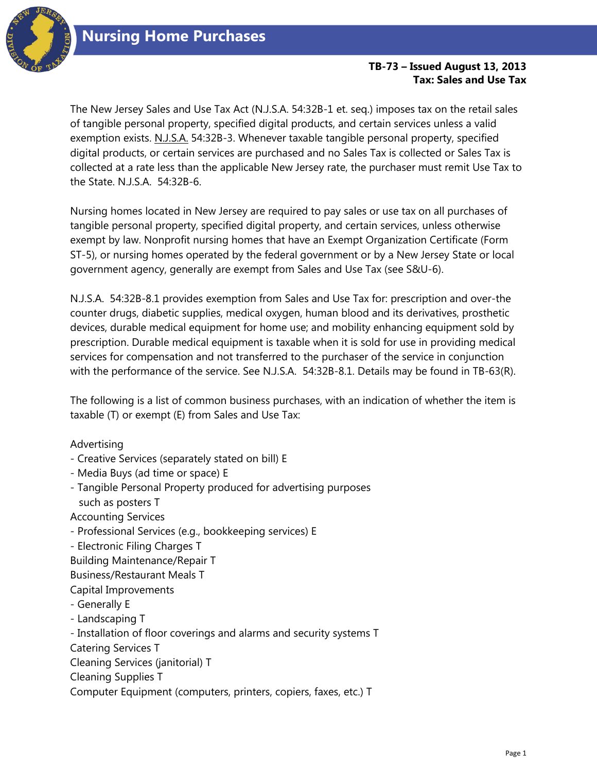

## **TB-73 – Issued August 13, 2013 Tax: Sales and Use Tax**

The New Jersey Sales and Use Tax Act (N.J.S.A. 54:32B-1 et. seq.) imposes tax on the retail sales of tangible personal property, specified digital products, and certain services unless a valid exemption exists. N.J.S.A. 54:32B-3. Whenever taxable tangible personal property, specified digital products, or certain services are purchased and no Sales Tax is collected or Sales Tax is collected at a rate less than the applicable New Jersey rate, the purchaser must remit Use Tax to the State. N.J.S.A. 54:32B-6.

Nursing homes located in New Jersey are required to pay sales or use tax on all purchases of tangible personal property, specified digital property, and certain services, unless otherwise exempt by law. Nonprofit nursing homes that have an Exempt Organization Certificate (Form ST-5), or nursing homes operated by the federal government or by a New Jersey State or local government agency, generally are exempt from Sales and Use Tax (see S&U-6).

N.J.S.A. 54:32B-8.1 provides exemption from Sales and Use Tax for: prescription and over-the counter drugs, diabetic supplies, medical oxygen, human blood and its derivatives, prosthetic devices, durable medical equipment for home use; and mobility enhancing equipment sold by prescription. Durable medical equipment is taxable when it is sold for use in providing medical services for compensation and not transferred to the purchaser of the service in conjunction with the performance of the service. See N.J.S.A. 54:32B-8.1. Details may be found in TB-63(R).

The following is a list of common business purchases, with an indication of whether the item is taxable (T) or exempt (E) from Sales and Use Tax:

Advertising

- Creative Services (separately stated on bill) E
- Media Buys (ad time or space) E
- Tangible Personal Property produced for advertising purposes such as posters T

Accounting Services

- Professional Services (e.g., bookkeeping services) E
- Electronic Filing Charges T
- Building Maintenance/Repair T
- Business/Restaurant Meals T

Capital Improvements

- Generally E
- Landscaping T
- Installation of floor coverings and alarms and security systems T

Catering Services T

Cleaning Services (janitorial) T

Cleaning Supplies T

Computer Equipment (computers, printers, copiers, faxes, etc.) T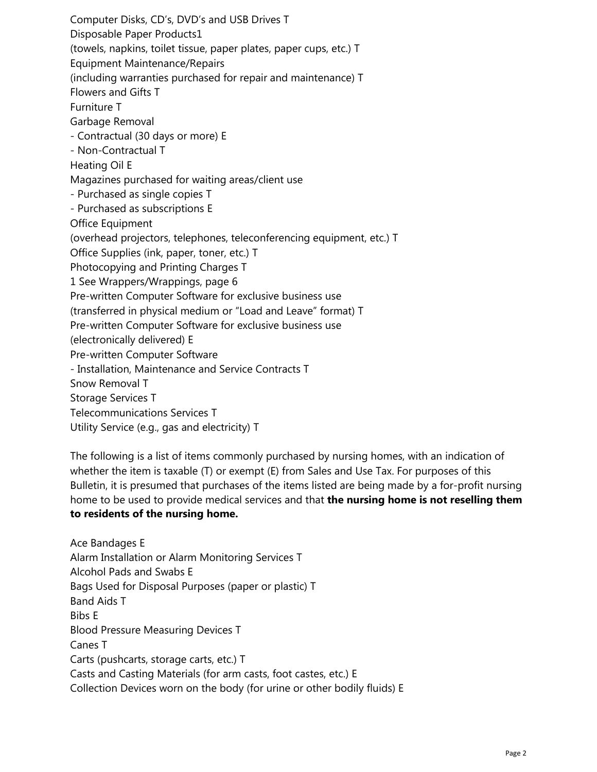Computer Disks, CD's, DVD's and USB Drives T Disposable Paper Products1 (towels, napkins, toilet tissue, paper plates, paper cups, etc.) T Equipment Maintenance/Repairs (including warranties purchased for repair and maintenance) T Flowers and Gifts T Furniture T Garbage Removal - Contractual (30 days or more) E - Non-Contractual T Heating Oil E Magazines purchased for waiting areas/client use - Purchased as single copies T - Purchased as subscriptions E Office Equipment (overhead projectors, telephones, teleconferencing equipment, etc.) T Office Supplies (ink, paper, toner, etc.) T Photocopying and Printing Charges T 1 See Wrappers/Wrappings, page 6 Pre-written Computer Software for exclusive business use (transferred in physical medium or "Load and Leave" format) T Pre-written Computer Software for exclusive business use (electronically delivered) E Pre-written Computer Software - Installation, Maintenance and Service Contracts T Snow Removal T Storage Services T Telecommunications Services T Utility Service (e.g., gas and electricity) T

The following is a list of items commonly purchased by nursing homes, with an indication of whether the item is taxable (T) or exempt (E) from Sales and Use Tax. For purposes of this Bulletin, it is presumed that purchases of the items listed are being made by a for-profit nursing home to be used to provide medical services and that **the nursing home is not reselling them to residents of the nursing home.**

Ace Bandages E Alarm Installation or Alarm Monitoring Services T Alcohol Pads and Swabs E Bags Used for Disposal Purposes (paper or plastic) T Band Aids T Bibs E Blood Pressure Measuring Devices T Canes T Carts (pushcarts, storage carts, etc.) T Casts and Casting Materials (for arm casts, foot castes, etc.) E Collection Devices worn on the body (for urine or other bodily fluids) E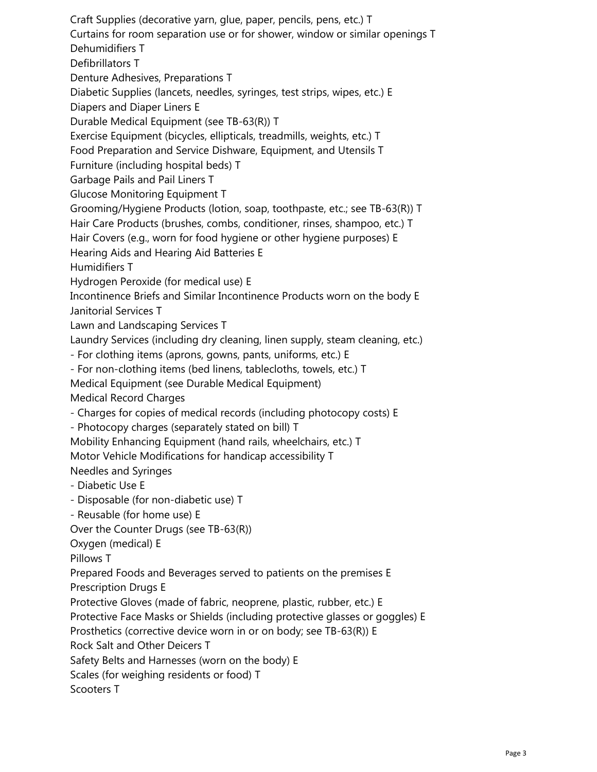Craft Supplies (decorative yarn, glue, paper, pencils, pens, etc.) T Curtains for room separation use or for shower, window or similar openings T Dehumidifiers T Defibrillators T Denture Adhesives, Preparations T Diabetic Supplies (lancets, needles, syringes, test strips, wipes, etc.) E Diapers and Diaper Liners E Durable Medical Equipment (see TB-63(R)) T Exercise Equipment (bicycles, ellipticals, treadmills, weights, etc.) T Food Preparation and Service Dishware, Equipment, and Utensils T Furniture (including hospital beds) T Garbage Pails and Pail Liners T Glucose Monitoring Equipment T Grooming/Hygiene Products (lotion, soap, toothpaste, etc.; see TB-63(R)) T Hair Care Products (brushes, combs, conditioner, rinses, shampoo, etc.) T Hair Covers (e.g., worn for food hygiene or other hygiene purposes) E Hearing Aids and Hearing Aid Batteries E Humidifiers T Hydrogen Peroxide (for medical use) E Incontinence Briefs and Similar Incontinence Products worn on the body E Janitorial Services T Lawn and Landscaping Services T Laundry Services (including dry cleaning, linen supply, steam cleaning, etc.) - For clothing items (aprons, gowns, pants, uniforms, etc.) E - For non-clothing items (bed linens, tablecloths, towels, etc.) T Medical Equipment (see Durable Medical Equipment) Medical Record Charges - Charges for copies of medical records (including photocopy costs) E - Photocopy charges (separately stated on bill) T Mobility Enhancing Equipment (hand rails, wheelchairs, etc.) T Motor Vehicle Modifications for handicap accessibility T Needles and Syringes - Diabetic Use E - Disposable (for non-diabetic use) T - Reusable (for home use) E Over the Counter Drugs (see TB-63(R)) Oxygen (medical) E Pillows T Prepared Foods and Beverages served to patients on the premises E Prescription Drugs E Protective Gloves (made of fabric, neoprene, plastic, rubber, etc.) E Protective Face Masks or Shields (including protective glasses or goggles) E Prosthetics (corrective device worn in or on body; see TB-63(R)) E Rock Salt and Other Deicers T Safety Belts and Harnesses (worn on the body) E Scales (for weighing residents or food) T Scooters T